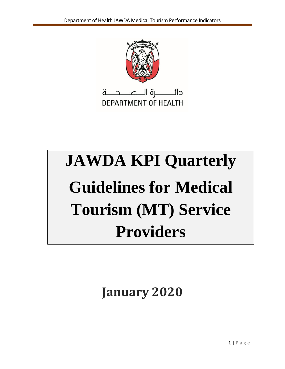

# **JAWDA KPI Quarterly Guidelines for Medical Tourism (MT) Service Providers**

**January 2020**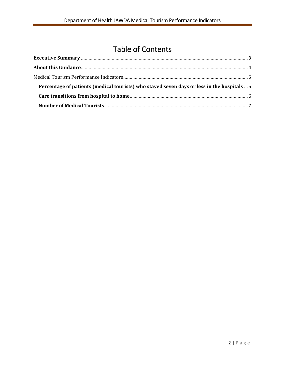# Table of Contents

| Percentage of patients (medical tourists) who stayed seven days or less in the hospitals  5 |  |
|---------------------------------------------------------------------------------------------|--|
|                                                                                             |  |
|                                                                                             |  |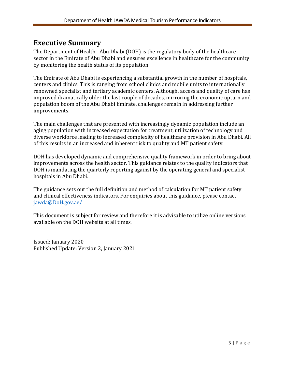# <span id="page-2-0"></span>**Executive Summary**

The Department of Health– Abu Dhabi (DOH) is the regulatory body of the healthcare sector in the Emirate of Abu Dhabi and ensures excellence in healthcare for the community by monitoring the health status of its population.

The Emirate of Abu Dhabi is experiencing a substantial growth in the number of hospitals, centers and clinics. This is ranging from school clinics and mobile units to internationally renowned specialist and tertiary academic centers. Although, access and quality of care has improved dramatically older the last couple of decades, mirroring the economic upturn and population boom of the Abu Dhabi Emirate, challenges remain in addressing further improvements.

The main challenges that are presented with increasingly dynamic population include an aging population with increased expectation for treatment, utilization of technology and diverse workforce leading to increased complexity of healthcare provision in Abu Dhabi. All of this results in an increased and inherent risk to quality and MT patient safety.

DOH has developed dynamic and comprehensive quality framework in order to bring about improvements across the health sector. This guidance relates to the quality indicators that DOH is mandating the quarterly reporting against by the operating general and specialist hospitals in Abu Dhabi.

The guidance sets out the full definition and method of calculation for MT patient safety and clinical effectiveness indicators. For enquiries about this guidance, please contact [jawda@DoH.gov.ae/](mailto:jawda@DoH.gov.ae/)

This document is subject for review and therefore it is advisable to utilize online versions available on the DOH website at all times.

Issued: January 2020 Published Update: Version 2, January 2021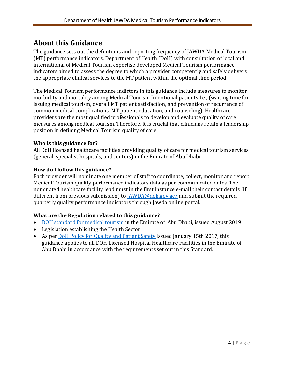# <span id="page-3-0"></span>**About this Guidance**

The guidance sets out the definitions and reporting frequency of JAWDA Medical Tourism (MT) performance indicators. Department of Health (DoH) with consultation of local and international of Medical Tourism expertise developed Medical Tourism performance indicators aimed to assess the degree to which a provider competently and safely delivers the appropriate clinical services to the MT patient within the optimal time period.

The Medical Tourism performance indictors in this guidance include measures to monitor morbidity and mortality among Medical Tourism Intentional patients I.e., (waiting time for issuing medical tourism, overall MT patient satisfaction, and prevention of recurrence of common medical complications. MT patient education, and counseling). Healthcare providers are the most qualified professionals to develop and evaluate quality of care measures among medical tourism. Therefore, it is crucial that clinicians retain a leadership position in defining Medical Tourism quality of care.

### **Who is this guidance for?**

All DoH licensed healthcare facilities providing quality of care for medical tourism services (general, specialist hospitals, and centers) in the Emirate of Abu Dhabi.

### **How do I follow this guidance?**

Each provider will nominate one member of staff to coordinate, collect, monitor and report Medical Tourism quality performance indicators data as per communicated dates. The nominated healthcare facility lead must in the first instance e-mail their contact details (if different from previous submission) to  $\frac{[AWDA@doh.gov.ae]}{[AWDA@doh.gov.ae]}$  and submit the required quarterly quality performance indicators through Jawda online portal.

## **What are the Regulation related to this guidance?**

- [DOH standard for medical tourism](https://www.doh.gov.ae/resources/standards) in the Emirate of Abu Dhabi, issued August 2019
- Legislation establishing the Health Sector
- As per [DoH Policy for Quality and Patient Safety](https://www.haad.ae/HAAD/LinkClick.aspx?fileticket=Jrh93s-AyUA%3d&tabid=1276) issued January 15th 2017, this guidance applies to all DOH Licensed Hospital Healthcare Facilities in the Emirate of Abu Dhabi in accordance with the requirements set out in this Standard.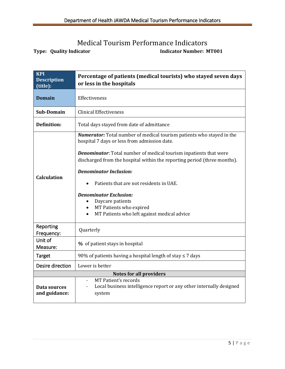# <span id="page-4-1"></span>Medical Tourism Performance Indicators

<span id="page-4-0"></span>**Type:** Quality Indicator **Indicator** Indicator Number: MT001

| <b>KPI</b><br><b>Description</b><br>(title): | Percentage of patients (medical tourists) who stayed seven days<br>or less in the hospitals                                                                                                                                                                                                                                                                                                                                                                                                                               |  |
|----------------------------------------------|---------------------------------------------------------------------------------------------------------------------------------------------------------------------------------------------------------------------------------------------------------------------------------------------------------------------------------------------------------------------------------------------------------------------------------------------------------------------------------------------------------------------------|--|
| <b>Domain</b>                                | Effectiveness                                                                                                                                                                                                                                                                                                                                                                                                                                                                                                             |  |
| Sub-Domain                                   | <b>Clinical Effectiveness</b>                                                                                                                                                                                                                                                                                                                                                                                                                                                                                             |  |
| <b>Definition:</b>                           | Total days stayed from date of admittance                                                                                                                                                                                                                                                                                                                                                                                                                                                                                 |  |
| Calculation                                  | <b>Numerator:</b> Total number of medical tourism patients who stayed in the<br>hospital 7 days or less from admission date.<br><b>Denominator:</b> Total number of medical tourism inpatients that were<br>discharged from the hospital within the reporting period (three months).<br><b>Denominator Inclusion:</b><br>Patients that are not residents in UAE.<br><b>Denominator Exclusion:</b><br>Daycare patients<br>MT Patients who expired<br>$\bullet$<br>MT Patients who left against medical advice<br>$\bullet$ |  |
| Reporting<br>Frequency:                      | Quarterly                                                                                                                                                                                                                                                                                                                                                                                                                                                                                                                 |  |
| Unit of<br>Measure:                          | % of patient stays in hospital                                                                                                                                                                                                                                                                                                                                                                                                                                                                                            |  |
| <b>Target</b>                                | 90% of patients having a hospital length of stay ≤ 7 days                                                                                                                                                                                                                                                                                                                                                                                                                                                                 |  |
| Desire direction                             | Lower is better                                                                                                                                                                                                                                                                                                                                                                                                                                                                                                           |  |
| <b>Notes for all providers</b>               |                                                                                                                                                                                                                                                                                                                                                                                                                                                                                                                           |  |
| Data sources<br>and guidance:                | <b>MT Patient's records</b><br>Local business intelligence report or any other internally designed<br>system                                                                                                                                                                                                                                                                                                                                                                                                              |  |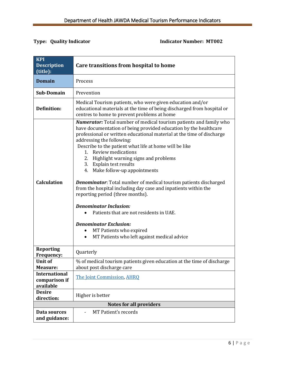### **Type:** Quality Indicator **Indicator** Indicator Number: MT002

<span id="page-5-0"></span>

| <b>KPI</b><br><b>Description</b><br>(title):       | Care transitions from hospital to home                                                                                                                                                                                                                                                                                                                                                                                                                                                                                                                                                                                                                                                                                                                                                                                                                 |  |
|----------------------------------------------------|--------------------------------------------------------------------------------------------------------------------------------------------------------------------------------------------------------------------------------------------------------------------------------------------------------------------------------------------------------------------------------------------------------------------------------------------------------------------------------------------------------------------------------------------------------------------------------------------------------------------------------------------------------------------------------------------------------------------------------------------------------------------------------------------------------------------------------------------------------|--|
| <b>Domain</b>                                      | Process                                                                                                                                                                                                                                                                                                                                                                                                                                                                                                                                                                                                                                                                                                                                                                                                                                                |  |
| Sub-Domain                                         | Prevention                                                                                                                                                                                                                                                                                                                                                                                                                                                                                                                                                                                                                                                                                                                                                                                                                                             |  |
| <b>Definition:</b>                                 | Medical Tourism patients, who were given education and/or<br>educational materials at the time of being discharged from hospital or<br>centres to home to prevent problems at home                                                                                                                                                                                                                                                                                                                                                                                                                                                                                                                                                                                                                                                                     |  |
| <b>Calculation</b>                                 | <b>Numerator:</b> Total number of medical tourism patients and family who<br>have documentation of being provided education by the healthcare<br>professional or written educational material at the time of discharge<br>addressing the following:<br>Describe to the patient what life at home will be like<br>1. Review medications<br>Highlight warning signs and problems<br>2.<br>Explain test results<br>3.<br>4. Make follow-up appointments<br><b>Denominator:</b> Total number of medical tourism patients discharged<br>from the hospital including day case and inpatients within the<br>reporting period (three months).<br><b>Denominator Inclusion:</b><br>Patients that are not residents in UAE.<br><b>Denominator Exclusion:</b><br>MT Patients who expired<br>$\bullet$<br>MT Patients who left against medical advice<br>$\bullet$ |  |
| <b>Reporting</b><br><b>Frequency:</b>              | Quarterly                                                                                                                                                                                                                                                                                                                                                                                                                                                                                                                                                                                                                                                                                                                                                                                                                                              |  |
| <b>Unit of</b><br><b>Measure:</b>                  | % of medical tourism patients given education at the time of discharge<br>about post discharge care                                                                                                                                                                                                                                                                                                                                                                                                                                                                                                                                                                                                                                                                                                                                                    |  |
| <b>International</b><br>comparison if<br>available | The Joint Commission, AHRQ                                                                                                                                                                                                                                                                                                                                                                                                                                                                                                                                                                                                                                                                                                                                                                                                                             |  |
| <b>Desire</b><br>direction:                        | Higher is better                                                                                                                                                                                                                                                                                                                                                                                                                                                                                                                                                                                                                                                                                                                                                                                                                                       |  |
| <b>Notes for all providers</b>                     |                                                                                                                                                                                                                                                                                                                                                                                                                                                                                                                                                                                                                                                                                                                                                                                                                                                        |  |
| Data sources<br>and guidance:                      | MT Patient's records                                                                                                                                                                                                                                                                                                                                                                                                                                                                                                                                                                                                                                                                                                                                                                                                                                   |  |